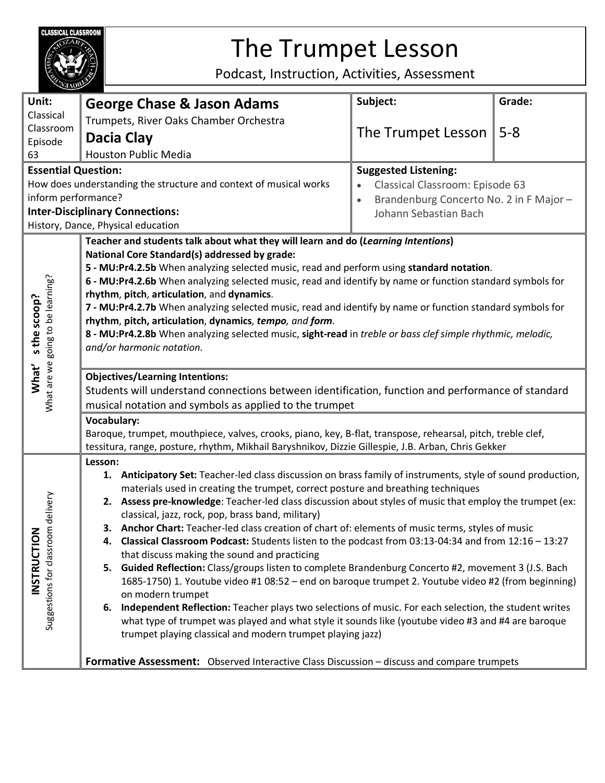

## The Trumpet Lesson

Podcast, Instruction, Activities, Assessment

|                                                                                                      | <b>MAOB</b>                                                                                                                                                                                                                                                                                                                                                                                                                                                                                                                                                                                                                                                                                                                                                                                                                                                                                                                                                                                                                                                                                                                                         |                                                     |         |  |
|------------------------------------------------------------------------------------------------------|-----------------------------------------------------------------------------------------------------------------------------------------------------------------------------------------------------------------------------------------------------------------------------------------------------------------------------------------------------------------------------------------------------------------------------------------------------------------------------------------------------------------------------------------------------------------------------------------------------------------------------------------------------------------------------------------------------------------------------------------------------------------------------------------------------------------------------------------------------------------------------------------------------------------------------------------------------------------------------------------------------------------------------------------------------------------------------------------------------------------------------------------------------|-----------------------------------------------------|---------|--|
| Unit:                                                                                                | <b>George Chase &amp; Jason Adams</b>                                                                                                                                                                                                                                                                                                                                                                                                                                                                                                                                                                                                                                                                                                                                                                                                                                                                                                                                                                                                                                                                                                               | Subject:                                            | Grade:  |  |
| Classical                                                                                            | Trumpets, River Oaks Chamber Orchestra                                                                                                                                                                                                                                                                                                                                                                                                                                                                                                                                                                                                                                                                                                                                                                                                                                                                                                                                                                                                                                                                                                              |                                                     |         |  |
| Classroom<br>Episode                                                                                 | Dacia Clay                                                                                                                                                                                                                                                                                                                                                                                                                                                                                                                                                                                                                                                                                                                                                                                                                                                                                                                                                                                                                                                                                                                                          | The Trumpet Lesson                                  | $5 - 8$ |  |
| 63                                                                                                   | <b>Houston Public Media</b>                                                                                                                                                                                                                                                                                                                                                                                                                                                                                                                                                                                                                                                                                                                                                                                                                                                                                                                                                                                                                                                                                                                         |                                                     |         |  |
| <b>Essential Question:</b><br><b>Suggested Listening:</b>                                            |                                                                                                                                                                                                                                                                                                                                                                                                                                                                                                                                                                                                                                                                                                                                                                                                                                                                                                                                                                                                                                                                                                                                                     |                                                     |         |  |
| How does understanding the structure and context of musical works<br>Classical Classroom: Episode 63 |                                                                                                                                                                                                                                                                                                                                                                                                                                                                                                                                                                                                                                                                                                                                                                                                                                                                                                                                                                                                                                                                                                                                                     |                                                     |         |  |
| inform performance?                                                                                  |                                                                                                                                                                                                                                                                                                                                                                                                                                                                                                                                                                                                                                                                                                                                                                                                                                                                                                                                                                                                                                                                                                                                                     | Brandenburg Concerto No. 2 in F Major-<br>$\bullet$ |         |  |
| <b>Inter-Disciplinary Connections:</b>                                                               |                                                                                                                                                                                                                                                                                                                                                                                                                                                                                                                                                                                                                                                                                                                                                                                                                                                                                                                                                                                                                                                                                                                                                     | Johann Sebastian Bach                               |         |  |
| History, Dance, Physical education                                                                   |                                                                                                                                                                                                                                                                                                                                                                                                                                                                                                                                                                                                                                                                                                                                                                                                                                                                                                                                                                                                                                                                                                                                                     |                                                     |         |  |
| What are we going to be learning?<br>s the scoop?<br>What'                                           | Teacher and students talk about what they will learn and do (Learning Intentions)<br>National Core Standard(s) addressed by grade:<br>5 - MU:Pr4.2.5b When analyzing selected music, read and perform using standard notation.<br>6 - MU:Pr4.2.6b When analyzing selected music, read and identify by name or function standard symbols for<br>rhythm, pitch, articulation, and dynamics.<br>7 - MU:Pr4.2.7b When analyzing selected music, read and identify by name or function standard symbols for<br>rhythm, pitch, articulation, dynamics, tempo, and form.<br>8 - MU:Pr4.2.8b When analyzing selected music, sight-read in treble or bass clef simple rhythmic, melodic,<br>and/or harmonic notation.                                                                                                                                                                                                                                                                                                                                                                                                                                        |                                                     |         |  |
|                                                                                                      | <b>Objectives/Learning Intentions:</b>                                                                                                                                                                                                                                                                                                                                                                                                                                                                                                                                                                                                                                                                                                                                                                                                                                                                                                                                                                                                                                                                                                              |                                                     |         |  |
|                                                                                                      | Students will understand connections between identification, function and performance of standard                                                                                                                                                                                                                                                                                                                                                                                                                                                                                                                                                                                                                                                                                                                                                                                                                                                                                                                                                                                                                                                   |                                                     |         |  |
|                                                                                                      | musical notation and symbols as applied to the trumpet                                                                                                                                                                                                                                                                                                                                                                                                                                                                                                                                                                                                                                                                                                                                                                                                                                                                                                                                                                                                                                                                                              |                                                     |         |  |
|                                                                                                      | <b>Vocabulary:</b><br>Baroque, trumpet, mouthpiece, valves, crooks, piano, key, B-flat, transpose, rehearsal, pitch, treble clef,<br>tessitura, range, posture, rhythm, Mikhail Baryshnikov, Dizzie Gillespie, J.B. Arban, Chris Gekker                                                                                                                                                                                                                                                                                                                                                                                                                                                                                                                                                                                                                                                                                                                                                                                                                                                                                                             |                                                     |         |  |
|                                                                                                      | Lesson:                                                                                                                                                                                                                                                                                                                                                                                                                                                                                                                                                                                                                                                                                                                                                                                                                                                                                                                                                                                                                                                                                                                                             |                                                     |         |  |
| delivery<br>INSTRUCTION<br>Suggestions for classroom                                                 | 1. Anticipatory Set: Teacher-led class discussion on brass family of instruments, style of sound production,<br>materials used in creating the trumpet, correct posture and breathing techniques<br>2. Assess pre-knowledge: Teacher-led class discussion about styles of music that employ the trumpet (ex:<br>classical, jazz, rock, pop, brass band, military)<br>3. Anchor Chart: Teacher-led class creation of chart of: elements of music terms, styles of music<br>4. Classical Classroom Podcast: Students listen to the podcast from 03:13-04:34 and from 12:16 - 13:27<br>that discuss making the sound and practicing<br>5. Guided Reflection: Class/groups listen to complete Brandenburg Concerto #2, movement 3 (J.S. Bach<br>1685-1750) 1. Youtube video #1 08:52 - end on baroque trumpet 2. Youtube video #2 (from beginning)<br>on modern trumpet<br>6. Independent Reflection: Teacher plays two selections of music. For each selection, the student writes<br>what type of trumpet was played and what style it sounds like (youtube video #3 and #4 are baroque<br>trumpet playing classical and modern trumpet playing jazz) |                                                     |         |  |
|                                                                                                      | Formative Assessment: Observed Interactive Class Discussion - discuss and compare trumpets                                                                                                                                                                                                                                                                                                                                                                                                                                                                                                                                                                                                                                                                                                                                                                                                                                                                                                                                                                                                                                                          |                                                     |         |  |